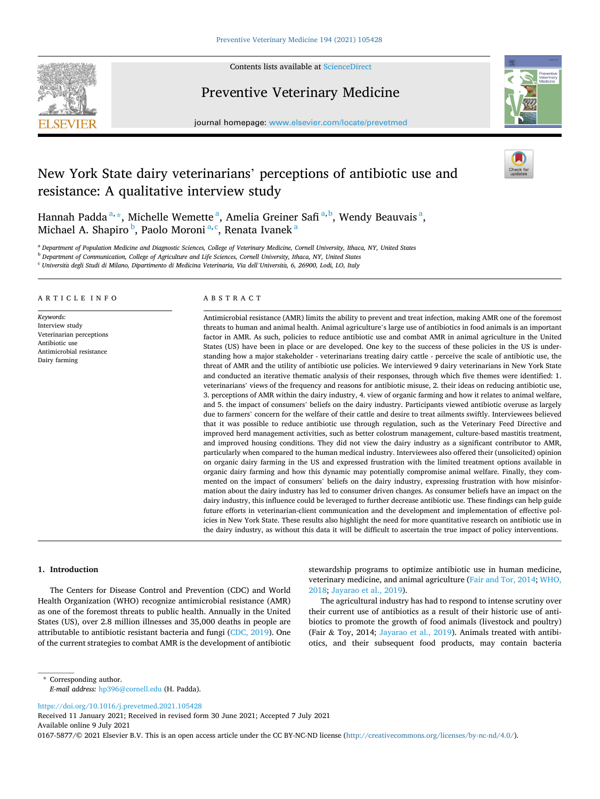

Contents lists available at [ScienceDirect](www.sciencedirect.com/science/journal/01675877)

# Preventive Veterinary Medicine



journal homepage: [www.elsevier.com/locate/prevetmed](https://www.elsevier.com/locate/prevetmed) 

# New York State dairy veterinarians' perceptions of antibiotic use and resistance: A qualitative interview study

Hannah Padda<sup>a, \*</sup>, Michelle Wemette<sup>a</sup>, Amelia Greiner Safi<sup>a, b</sup>, Wendy Beauvais<sup>a</sup>, Michael A. Shapiro <sup>b</sup>, Paolo Moroni <sup>a, c</sup>, Renata Ivanek <sup>a</sup>

<sup>a</sup> *Department of Population Medicine and Diagnostic Sciences, College of Veterinary Medicine, Cornell University, Ithaca, NY, United States* 

<sup>b</sup> *Department of Communication, College of Agriculture and Life Sciences, Cornell University, Ithaca, NY, United States* 

<sup>c</sup> *Universita* ` *degli Studi di Milano, Dipartimento di Medicina Veterinaria, Via dell'Universita,* ` *6, 26900, Lodi, LO, Italy* 

#### ARTICLE INFO

*Keywords:*  Interview study Veterinarian perceptions Antibiotic use Antimicrobial resistance Dairy farming

# ABSTRACT

Antimicrobial resistance (AMR) limits the ability to prevent and treat infection, making AMR one of the foremost threats to human and animal health. Animal agriculture's large use of antibiotics in food animals is an important factor in AMR. As such, policies to reduce antibiotic use and combat AMR in animal agriculture in the United States (US) have been in place or are developed. One key to the success of these policies in the US is understanding how a major stakeholder - veterinarians treating dairy cattle - perceive the scale of antibiotic use, the threat of AMR and the utility of antibiotic use policies. We interviewed 9 dairy veterinarians in New York State and conducted an iterative thematic analysis of their responses, through which five themes were identified: 1. veterinarians' views of the frequency and reasons for antibiotic misuse, 2. their ideas on reducing antibiotic use, 3. perceptions of AMR within the dairy industry, 4. view of organic farming and how it relates to animal welfare, and 5. the impact of consumers' beliefs on the dairy industry. Participants viewed antibiotic overuse as largely due to farmers' concern for the welfare of their cattle and desire to treat ailments swiftly. Interviewees believed that it was possible to reduce antibiotic use through regulation, such as the Veterinary Feed Directive and improved herd management activities, such as better colostrum management, culture-based mastitis treatment, and improved housing conditions. They did not view the dairy industry as a significant contributor to AMR, particularly when compared to the human medical industry. Interviewees also offered their (unsolicited) opinion on organic dairy farming in the US and expressed frustration with the limited treatment options available in organic dairy farming and how this dynamic may potentially compromise animal welfare. Finally, they commented on the impact of consumers' beliefs on the dairy industry, expressing frustration with how misinformation about the dairy industry has led to consumer driven changes. As consumer beliefs have an impact on the dairy industry, this influence could be leveraged to further decrease antibiotic use. These findings can help guide future efforts in veterinarian-client communication and the development and implementation of effective policies in New York State. These results also highlight the need for more quantitative research on antibiotic use in the dairy industry, as without this data it will be difficult to ascertain the true impact of policy interventions.

#### **1. Introduction**

The Centers for Disease Control and Prevention (CDC) and World Health Organization (WHO) recognize antimicrobial resistance (AMR) as one of the foremost threats to public health. Annually in the United States (US), over 2.8 million illnesses and 35,000 deaths in people are attributable to antibiotic resistant bacteria and fungi ([CDC, 2019\)](#page-8-0). One of the current strategies to combat AMR is the development of antibiotic stewardship programs to optimize antibiotic use in human medicine, veterinary medicine, and animal agriculture [\(Fair and Tor, 2014;](#page-8-0) [WHO,](#page-9-0)  [2018; Jayarao et al., 2019\)](#page-9-0).

The agricultural industry has had to respond to intense scrutiny over their current use of antibiotics as a result of their historic use of antibiotics to promote the growth of food animals (livestock and poultry) (Fair & Toy, 2014; [Jayarao et al., 2019](#page-9-0)). Animals treated with antibiotics, and their subsequent food products, may contain bacteria

<https://doi.org/10.1016/j.prevetmed.2021.105428>

Available online 9 July 2021 Received 11 January 2021; Received in revised form 30 June 2021; Accepted 7 July 2021

0167-5877/© 2021 Elsevier B.V. This is an open access article under the CC BY-NC-ND license(<http://creativecommons.org/licenses/by-nc-nd/4.0/>).

<sup>\*</sup> Corresponding author. *E-mail address:* [hp396@cornell.edu](mailto:hp396@cornell.edu) (H. Padda).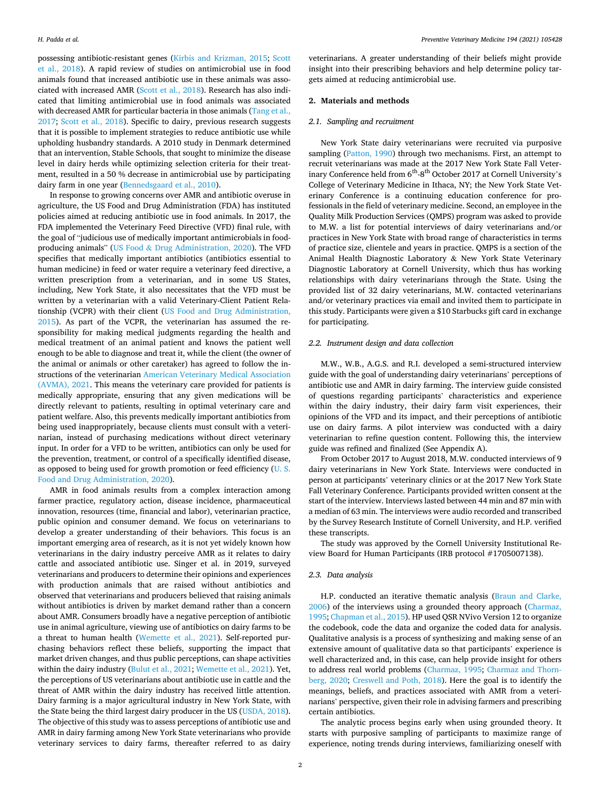*Preventive Veterinary Medicine 194 (2021) 105428*

possessing antibiotic-resistant genes [\(Kirbis and Krizman, 2015;](#page-9-0) [Scott](#page-9-0)  [et al., 2018\)](#page-9-0). A rapid review of studies on antimicrobial use in food animals found that increased antibiotic use in these animals was associated with increased AMR ([Scott et al., 2018\)](#page-9-0). Research has also indicated that limiting antimicrobial use in food animals was associated with decreased AMR for particular bacteria in those animals (Tang et al., [2017;](#page-9-0) [Scott et al., 2018](#page-9-0)). Specific to dairy, previous research suggests that it is possible to implement strategies to reduce antibiotic use while upholding husbandry standards. A 2010 study in Denmark determined that an intervention, Stable Schools, that sought to minimize the disease level in dairy herds while optimizing selection criteria for their treatment, resulted in a 50 % decrease in antimicrobial use by participating dairy farm in one year [\(Bennedsgaard et al., 2010](#page-8-0)).

In response to growing concerns over AMR and antibiotic overuse in agriculture, the US Food and Drug Administration (FDA) has instituted policies aimed at reducing antibiotic use in food animals. In 2017, the FDA implemented the Veterinary Feed Directive (VFD) final rule, with the goal of "judicious use of medically important antimicrobials in foodproducing animals" (US Food & [Drug Administration, 2020\)](#page-9-0). The VFD specifies that medically important antibiotics (antibiotics essential to human medicine) in feed or water require a veterinary feed directive, a written prescription from a veterinarian, and in some US States, including, New York State, it also necessitates that the VFD must be written by a veterinarian with a valid Veterinary-Client Patient Relationship (VCPR) with their client [\(US Food and Drug Administration,](#page-9-0)  [2015\)](#page-9-0). As part of the VCPR, the veterinarian has assumed the responsibility for making medical judgments regarding the health and medical treatment of an animal patient and knows the patient well enough to be able to diagnose and treat it, while the client (the owner of the animal or animals or other caretaker) has agreed to follow the instructions of the veterinarian [American Veterinary Medical Association](#page-8-0)  [\(AVMA\), 2021](#page-8-0). This means the veterinary care provided for patients is medically appropriate, ensuring that any given medications will be directly relevant to patients, resulting in optimal veterinary care and patient welfare. Also, this prevents medically important antibiotics from being used inappropriately, because clients must consult with a veterinarian, instead of purchasing medications without direct veterinary input. In order for a VFD to be written, antibiotics can only be used for the prevention, treatment, or control of a specifically identified disease, as opposed to being used for growth promotion or feed efficiency [\(U. S.](#page-9-0)  [Food and Drug Administration, 2020](#page-9-0)).

AMR in food animals results from a complex interaction among farmer practice, regulatory action, disease incidence, pharmaceutical innovation, resources (time, financial and labor), veterinarian practice, public opinion and consumer demand. We focus on veterinarians to develop a greater understanding of their behaviors. This focus is an important emerging area of research, as it is not yet widely known how veterinarians in the dairy industry perceive AMR as it relates to dairy cattle and associated antibiotic use. Singer et al. in 2019, surveyed veterinarians and producers to determine their opinions and experiences with production animals that are raised without antibiotics and observed that veterinarians and producers believed that raising animals without antibiotics is driven by market demand rather than a concern about AMR. Consumers broadly have a negative perception of antibiotic use in animal agriculture, viewing use of antibiotics on dairy farms to be a threat to human health ([Wemette et al., 2021\)](#page-9-0). Self-reported purchasing behaviors reflect these beliefs, supporting the impact that market driven changes, and thus public perceptions, can shape activities within the dairy industry [\(Bulut et al., 2021;](#page-8-0) [Wemette et al., 2021\)](#page-9-0). Yet, the perceptions of US veterinarians about antibiotic use in cattle and the threat of AMR within the dairy industry has received little attention. Dairy farming is a major agricultural industry in New York State, with the State being the third largest dairy producer in the US ([USDA, 2018](#page-9-0)). The objective of this study was to assess perceptions of antibiotic use and AMR in dairy farming among New York State veterinarians who provide veterinary services to dairy farms, thereafter referred to as dairy

veterinarians. A greater understanding of their beliefs might provide insight into their prescribing behaviors and help determine policy targets aimed at reducing antimicrobial use.

## **2. Materials and methods**

#### *2.1. Sampling and recruitment*

New York State dairy veterinarians were recruited via purposive sampling [\(Patton, 1990\)](#page-9-0) through two mechanisms. First, an attempt to recruit veterinarians was made at the 2017 New York State Fall Veterinary Conference held from  $6^{\text{th}}-8^{\text{th}}$  October 2017 at Cornell University's College of Veterinary Medicine in Ithaca, NY; the New York State Veterinary Conference is a continuing education conference for professionals in the field of veterinary medicine. Second, an employee in the Quality Milk Production Services (QMPS) program was asked to provide to M.W. a list for potential interviews of dairy veterinarians and/or practices in New York State with broad range of characteristics in terms of practice size, clientele and years in practice. QMPS is a section of the Animal Health Diagnostic Laboratory & New York State Veterinary Diagnostic Laboratory at Cornell University, which thus has working relationships with dairy veterinarians through the State. Using the provided list of 32 dairy veterinarians, M.W. contacted veterinarians and/or veterinary practices via email and invited them to participate in this study. Participants were given a \$10 Starbucks gift card in exchange for participating.

#### *2.2. Instrument design and data collection*

M.W., W.B., A.G.S. and R.I. developed a semi-structured interview guide with the goal of understanding dairy veterinarians' perceptions of antibiotic use and AMR in dairy farming. The interview guide consisted of questions regarding participants' characteristics and experience within the dairy industry, their dairy farm visit experiences, their opinions of the VFD and its impact, and their perceptions of antibiotic use on dairy farms. A pilot interview was conducted with a dairy veterinarian to refine question content. Following this, the interview guide was refined and finalized (See Appendix A).

From October 2017 to August 2018, M.W. conducted interviews of 9 dairy veterinarians in New York State. Interviews were conducted in person at participants' veterinary clinics or at the 2017 New York State Fall Veterinary Conference. Participants provided written consent at the start of the interview. Interviews lasted between 44 min and 87 min with a median of 63 min. The interviews were audio recorded and transcribed by the Survey Research Institute of Cornell University, and H.P. verified these transcripts.

The study was approved by the Cornell University Institutional Review Board for Human Participants (IRB protocol #1705007138).

#### *2.3. Data analysis*

H.P. conducted an iterative thematic analysis [\(Braun and Clarke,](#page-8-0)  [2006\)](#page-8-0) of the interviews using a grounded theory approach [\(Charmaz,](#page-8-0)  [1995; Chapman et al., 2015](#page-8-0)). HP used QSR NVivo Version 12 to organize the codebook, code the data and organize the coded data for analysis. Qualitative analysis is a process of synthesizing and making sense of an extensive amount of qualitative data so that participants' experience is well characterized and, in this case, can help provide insight for others to address real world problems [\(Charmaz, 1995](#page-8-0); [Charmaz and Thorn](#page-8-0)[berg, 2020](#page-8-0); [Creswell and Poth, 2018](#page-8-0)). Here the goal is to identify the meanings, beliefs, and practices associated with AMR from a veterinarians' perspective, given their role in advising farmers and prescribing certain antibiotics.

The analytic process begins early when using grounded theory. It starts with purposive sampling of participants to maximize range of experience, noting trends during interviews, familiarizing oneself with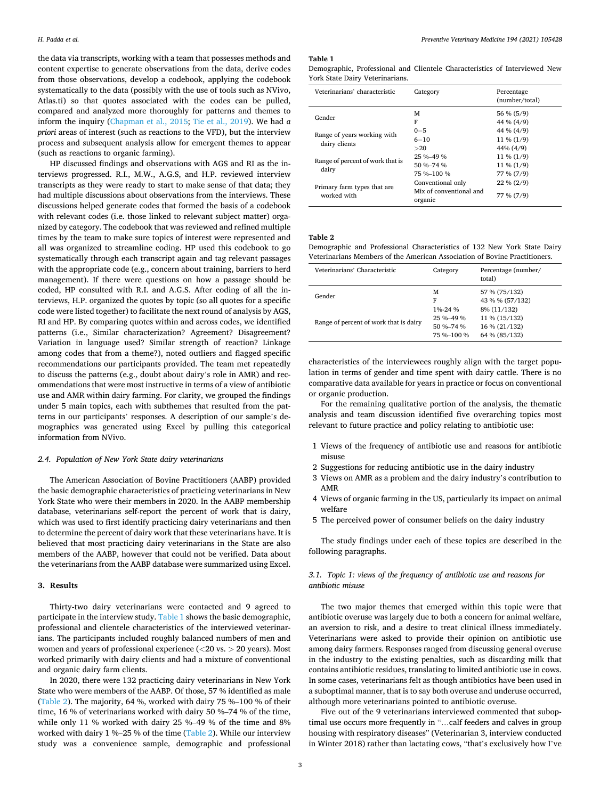the data via transcripts, working with a team that possesses methods and content expertise to generate observations from the data, derive codes from those observations, develop a codebook, applying the codebook systematically to the data (possibly with the use of tools such as NVivo, Atlas.ti) so that quotes associated with the codes can be pulled, compared and analyzed more thoroughly for patterns and themes to inform the inquiry [\(Chapman et al., 2015;](#page-8-0) [Tie et al., 2019\)](#page-9-0). We had *a priori* areas of interest (such as reactions to the VFD), but the interview process and subsequent analysis allow for emergent themes to appear (such as reactions to organic farming).

HP discussed findings and observations with AGS and RI as the interviews progressed. R.I., M.W., A.G.S, and H.P. reviewed interview transcripts as they were ready to start to make sense of that data; they had multiple discussions about observations from the interviews. These discussions helped generate codes that formed the basis of a codebook with relevant codes (i.e. those linked to relevant subject matter) organized by category. The codebook that was reviewed and refined multiple times by the team to make sure topics of interest were represented and all was organized to streamline coding. HP used this codebook to go systematically through each transcript again and tag relevant passages with the appropriate code (e.g., concern about training, barriers to herd management). If there were questions on how a passage should be coded, HP consulted with R.I. and A.G.S. After coding of all the interviews, H.P. organized the quotes by topic (so all quotes for a specific code were listed together) to facilitate the next round of analysis by AGS, RI and HP. By comparing quotes within and across codes, we identified patterns (i.e., Similar characterization? Agreement? Disagreement? Variation in language used? Similar strength of reaction? Linkage among codes that from a theme?), noted outliers and flagged specific recommendations our participants provided. The team met repeatedly to discuss the patterns (e.g., doubt about dairy's role in AMR) and recommendations that were most instructive in terms of a view of antibiotic use and AMR within dairy farming. For clarity, we grouped the findings under 5 main topics, each with subthemes that resulted from the patterns in our participants' responses. A description of our sample's demographics was generated using Excel by pulling this categorical information from NVivo.

## *2.4. Population of New York State dairy veterinarians*

The American Association of Bovine Practitioners (AABP) provided the basic demographic characteristics of practicing veterinarians in New York State who were their members in 2020. In the AABP membership database, veterinarians self-report the percent of work that is dairy, which was used to first identify practicing dairy veterinarians and then to determine the percent of dairy work that these veterinarians have. It is believed that most practicing dairy veterinarians in the State are also members of the AABP, however that could not be verified. Data about the veterinarians from the AABP database were summarized using Excel.

#### **3. Results**

Thirty-two dairy veterinarians were contacted and 9 agreed to participate in the interview study. Table 1 shows the basic demographic, professional and clientele characteristics of the interviewed veterinarians. The participants included roughly balanced numbers of men and women and years of professional experience (*<*20 vs. *>* 20 years). Most worked primarily with dairy clients and had a mixture of conventional and organic dairy farm clients.

In 2020, there were 132 practicing dairy veterinarians in New York State who were members of the AABP. Of those, 57 % identified as male (Table 2). The majority, 64 %, worked with dairy 75 %–100 % of their time, 16 % of veterinarians worked with dairy 50 %–74 % of the time, while only 11 % worked with dairy 25 %–49 % of the time and 8% worked with dairy 1 %–25 % of the time (Table 2). While our interview study was a convenience sample, demographic and professional

#### **Table 1**

Demographic, Professional and Clientele Characteristics of Interviewed New York State Dairy Veterinarians.

| Veterinarians' characteristic                | Category                           | Percentage<br>(number/total) |
|----------------------------------------------|------------------------------------|------------------------------|
| Gender                                       | м                                  | 56 % (5/9)                   |
|                                              | F                                  | 44 % (4/9)                   |
| Range of years working with<br>dairy clients | $0 - 5$                            | 44 % (4/9)                   |
|                                              | $6 - 10$                           | $11\% (1/9)$                 |
|                                              | >20                                | 44% (4/9)                    |
| Range of percent of work that is<br>dairy    | 25 % 49 %                          | $11\% (1/9)$                 |
|                                              | 50 %-74 %                          | $11\% (1/9)$                 |
|                                              | 75 %-100 %                         | 77 % (7/9)                   |
| Primary farm types that are<br>worked with   | Conventional only                  | $22\% (2/9)$                 |
|                                              | Mix of conventional and<br>organic | 77 % (7/9)                   |

# **Table 2**

Demographic and Professional Characteristics of 132 New York State Dairy Veterinarians Members of the American Association of Bovine Practitioners.

| Veterinarians' Characteristic          | Category                                              | Percentage (number/<br>total)                                  |
|----------------------------------------|-------------------------------------------------------|----------------------------------------------------------------|
| Gender                                 | м<br>F                                                | 57 % (75/132)<br>43 % % (57/132)                               |
| Range of percent of work that is dairy | 1%-24 %<br>25 % 49 %<br>$50 \% - 74 \%$<br>75 % 100 % | 8% (11/132)<br>11 % (15/132)<br>16 % (21/132)<br>64 % (85/132) |

characteristics of the interviewees roughly align with the target population in terms of gender and time spent with dairy cattle. There is no comparative data available for years in practice or focus on conventional or organic production.

For the remaining qualitative portion of the analysis, the thematic analysis and team discussion identified five overarching topics most relevant to future practice and policy relating to antibiotic use:

- 1 Views of the frequency of antibiotic use and reasons for antibiotic misuse
- 2 Suggestions for reducing antibiotic use in the dairy industry
- 3 Views on AMR as a problem and the dairy industry's contribution to AMR
- 4 Views of organic farming in the US, particularly its impact on animal welfare
- 5 The perceived power of consumer beliefs on the dairy industry

The study findings under each of these topics are described in the following paragraphs.

# *3.1. Topic 1: views of the frequency of antibiotic use and reasons for antibiotic misuse*

The two major themes that emerged within this topic were that antibiotic overuse was largely due to both a concern for animal welfare, an aversion to risk, and a desire to treat clinical illness immediately. Veterinarians were asked to provide their opinion on antibiotic use among dairy farmers. Responses ranged from discussing general overuse in the industry to the existing penalties, such as discarding milk that contains antibiotic residues, translating to limited antibiotic use in cows. In some cases, veterinarians felt as though antibiotics have been used in a suboptimal manner, that is to say both overuse and underuse occurred, although more veterinarians pointed to antibiotic overuse.

Five out of the 9 veterinarians interviewed commented that suboptimal use occurs more frequently in "…calf feeders and calves in group housing with respiratory diseases" (Veterinarian 3, interview conducted in Winter 2018) rather than lactating cows, "that's exclusively how I've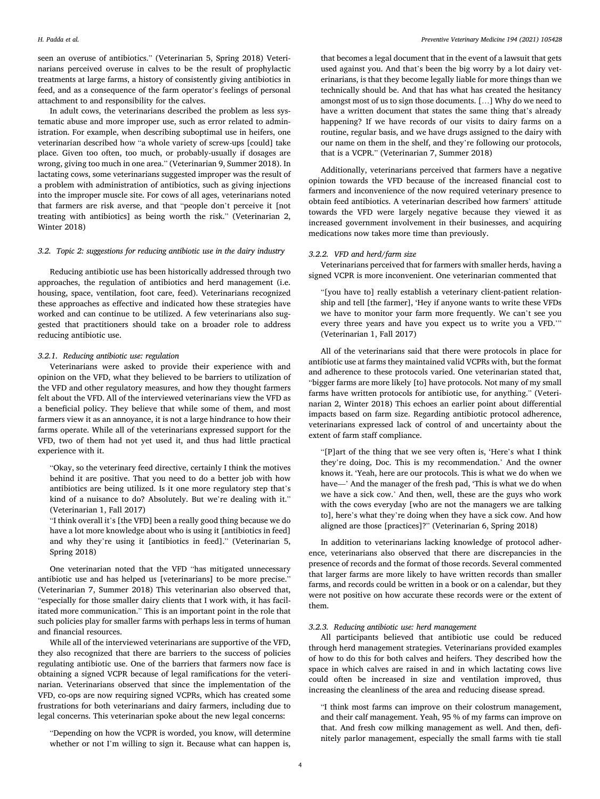seen an overuse of antibiotics." (Veterinarian 5, Spring 2018) Veterinarians perceived overuse in calves to be the result of prophylactic treatments at large farms, a history of consistently giving antibiotics in feed, and as a consequence of the farm operator's feelings of personal attachment to and responsibility for the calves.

In adult cows, the veterinarians described the problem as less systematic abuse and more improper use, such as error related to administration. For example, when describing suboptimal use in heifers, one veterinarian described how "a whole variety of screw-ups [could] take place. Given too often, too much, or probably-usually if dosages are wrong, giving too much in one area." (Veterinarian 9, Summer 2018). In lactating cows, some veterinarians suggested improper was the result of a problem with administration of antibiotics, such as giving injections into the improper muscle site. For cows of all ages, veterinarians noted that farmers are risk averse, and that "people don't perceive it [not treating with antibiotics] as being worth the risk." (Veterinarian 2, Winter 2018)

# *3.2. Topic 2: suggestions for reducing antibiotic use in the dairy industry*

Reducing antibiotic use has been historically addressed through two approaches, the regulation of antibiotics and herd management (i.e. housing, space, ventilation, foot care, feed). Veterinarians recognized these approaches as effective and indicated how these strategies have worked and can continue to be utilized. A few veterinarians also suggested that practitioners should take on a broader role to address reducing antibiotic use.

## *3.2.1. Reducing antibiotic use: regulation*

Veterinarians were asked to provide their experience with and opinion on the VFD, what they believed to be barriers to utilization of the VFD and other regulatory measures, and how they thought farmers felt about the VFD. All of the interviewed veterinarians view the VFD as a beneficial policy. They believe that while some of them, and most farmers view it as an annoyance, it is not a large hindrance to how their farms operate. While all of the veterinarians expressed support for the VFD, two of them had not yet used it, and thus had little practical experience with it.

"Okay, so the veterinary feed directive, certainly I think the motives behind it are positive. That you need to do a better job with how antibiotics are being utilized. Is it one more regulatory step that's kind of a nuisance to do? Absolutely. But we're dealing with it." (Veterinarian 1, Fall 2017)

"I think overall it's [the VFD] been a really good thing because we do have a lot more knowledge about who is using it [antibiotics in feed] and why they're using it [antibiotics in feed]." (Veterinarian 5, Spring 2018)

One veterinarian noted that the VFD "has mitigated unnecessary antibiotic use and has helped us [veterinarians] to be more precise." (Veterinarian 7, Summer 2018) This veterinarian also observed that, "especially for those smaller dairy clients that I work with, it has facilitated more communication." This is an important point in the role that such policies play for smaller farms with perhaps less in terms of human and financial resources.

While all of the interviewed veterinarians are supportive of the VFD, they also recognized that there are barriers to the success of policies regulating antibiotic use. One of the barriers that farmers now face is obtaining a signed VCPR because of legal ramifications for the veterinarian. Veterinarians observed that since the implementation of the VFD, co-ops are now requiring signed VCPRs, which has created some frustrations for both veterinarians and dairy farmers, including due to legal concerns. This veterinarian spoke about the new legal concerns:

"Depending on how the VCPR is worded, you know, will determine whether or not I'm willing to sign it. Because what can happen is,

that becomes a legal document that in the event of a lawsuit that gets used against you. And that's been the big worry by a lot dairy veterinarians, is that they become legally liable for more things than we technically should be. And that has what has created the hesitancy amongst most of us to sign those documents. […] Why do we need to have a written document that states the same thing that's already happening? If we have records of our visits to dairy farms on a routine, regular basis, and we have drugs assigned to the dairy with our name on them in the shelf, and they're following our protocols, that is a VCPR." (Veterinarian 7, Summer 2018)

Additionally, veterinarians perceived that farmers have a negative opinion towards the VFD because of the increased financial cost to farmers and inconvenience of the now required veterinary presence to obtain feed antibiotics. A veterinarian described how farmers' attitude towards the VFD were largely negative because they viewed it as increased government involvement in their businesses, and acquiring medications now takes more time than previously.

## *3.2.2. VFD and herd/farm size*

Veterinarians perceived that for farmers with smaller herds, having a signed VCPR is more inconvenient. One veterinarian commented that

"[you have to] really establish a veterinary client-patient relationship and tell [the farmer], 'Hey if anyone wants to write these VFDs we have to monitor your farm more frequently. We can't see you every three years and have you expect us to write you a VFD.'" (Veterinarian 1, Fall 2017)

All of the veterinarians said that there were protocols in place for antibiotic use at farms they maintained valid VCPRs with, but the format and adherence to these protocols varied. One veterinarian stated that, "bigger farms are more likely [to] have protocols. Not many of my small farms have written protocols for antibiotic use, for anything." (Veterinarian 2, Winter 2018) This echoes an earlier point about differential impacts based on farm size. Regarding antibiotic protocol adherence, veterinarians expressed lack of control of and uncertainty about the extent of farm staff compliance.

"[P]art of the thing that we see very often is, 'Here's what I think they're doing, Doc. This is my recommendation.' And the owner knows it. 'Yeah, here are our protocols. This is what we do when we have—' And the manager of the fresh pad, 'This is what we do when we have a sick cow.' And then, well, these are the guys who work with the cows everyday [who are not the managers we are talking to], here's what they're doing when they have a sick cow. And how aligned are those [practices]?" (Veterinarian 6, Spring 2018)

In addition to veterinarians lacking knowledge of protocol adherence, veterinarians also observed that there are discrepancies in the presence of records and the format of those records. Several commented that larger farms are more likely to have written records than smaller farms, and records could be written in a book or on a calendar, but they were not positive on how accurate these records were or the extent of them.

## *3.2.3. Reducing antibiotic use: herd management*

All participants believed that antibiotic use could be reduced through herd management strategies. Veterinarians provided examples of how to do this for both calves and heifers. They described how the space in which calves are raised in and in which lactating cows live could often be increased in size and ventilation improved, thus increasing the cleanliness of the area and reducing disease spread.

"I think most farms can improve on their colostrum management, and their calf management. Yeah, 95 % of my farms can improve on that. And fresh cow milking management as well. And then, definitely parlor management, especially the small farms with tie stall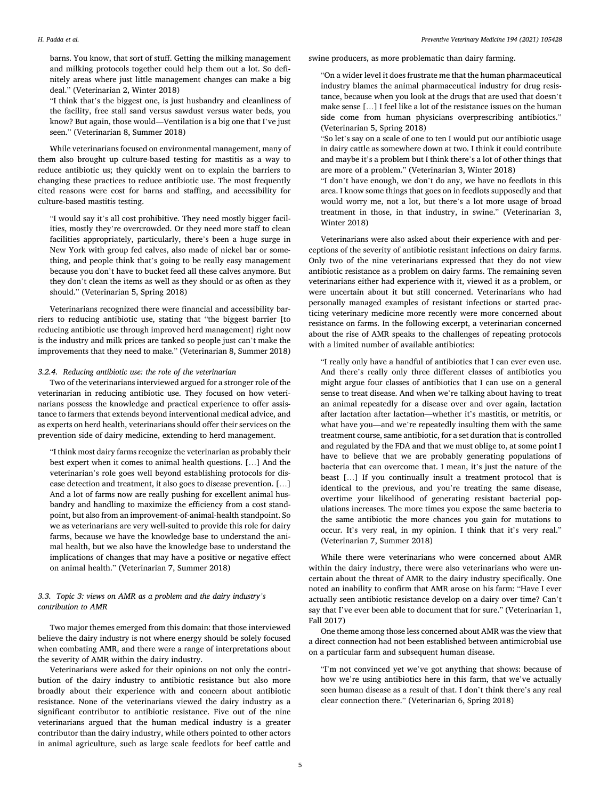#### *H. Padda et al.*

barns. You know, that sort of stuff. Getting the milking management and milking protocols together could help them out a lot. So definitely areas where just little management changes can make a big deal." (Veterinarian 2, Winter 2018)

"I think that's the biggest one, is just husbandry and cleanliness of the facility, free stall sand versus sawdust versus water beds, you know? But again, those would—Ventilation is a big one that I've just seen." (Veterinarian 8, Summer 2018)

While veterinarians focused on environmental management, many of them also brought up culture-based testing for mastitis as a way to reduce antibiotic us; they quickly went on to explain the barriers to changing these practices to reduce antibiotic use. The most frequently cited reasons were cost for barns and staffing, and accessibility for culture-based mastitis testing.

"I would say it's all cost prohibitive. They need mostly bigger facilities, mostly they're overcrowded. Or they need more staff to clean facilities appropriately, particularly, there's been a huge surge in New York with group fed calves, also made of nickel bar or something, and people think that's going to be really easy management because you don't have to bucket feed all these calves anymore. But they don't clean the items as well as they should or as often as they should." (Veterinarian 5, Spring 2018)

Veterinarians recognized there were financial and accessibility barriers to reducing antibiotic use, stating that "the biggest barrier [to reducing antibiotic use through improved herd management] right now is the industry and milk prices are tanked so people just can't make the improvements that they need to make." (Veterinarian 8, Summer 2018)

## *3.2.4. Reducing antibiotic use: the role of the veterinarian*

Two of the veterinarians interviewed argued for a stronger role of the veterinarian in reducing antibiotic use. They focused on how veterinarians possess the knowledge and practical experience to offer assistance to farmers that extends beyond interventional medical advice, and as experts on herd health, veterinarians should offer their services on the prevention side of dairy medicine, extending to herd management.

"I think most dairy farms recognize the veterinarian as probably their best expert when it comes to animal health questions. […] And the veterinarian's role goes well beyond establishing protocols for disease detection and treatment, it also goes to disease prevention. […] And a lot of farms now are really pushing for excellent animal husbandry and handling to maximize the efficiency from a cost standpoint, but also from an improvement-of-animal-health standpoint. So we as veterinarians are very well-suited to provide this role for dairy farms, because we have the knowledge base to understand the animal health, but we also have the knowledge base to understand the implications of changes that may have a positive or negative effect on animal health." (Veterinarian 7, Summer 2018)

# *3.3. Topic 3: views on AMR as a problem and the dairy industry's contribution to AMR*

Two major themes emerged from this domain: that those interviewed believe the dairy industry is not where energy should be solely focused when combating AMR, and there were a range of interpretations about the severity of AMR within the dairy industry.

Veterinarians were asked for their opinions on not only the contribution of the dairy industry to antibiotic resistance but also more broadly about their experience with and concern about antibiotic resistance. None of the veterinarians viewed the dairy industry as a significant contributor to antibiotic resistance. Five out of the nine veterinarians argued that the human medical industry is a greater contributor than the dairy industry, while others pointed to other actors in animal agriculture, such as large scale feedlots for beef cattle and swine producers, as more problematic than dairy farming.

"On a wider level it does frustrate me that the human pharmaceutical industry blames the animal pharmaceutical industry for drug resistance, because when you look at the drugs that are used that doesn't make sense […] I feel like a lot of the resistance issues on the human side come from human physicians overprescribing antibiotics." (Veterinarian 5, Spring 2018)

"So let's say on a scale of one to ten I would put our antibiotic usage in dairy cattle as somewhere down at two. I think it could contribute and maybe it's a problem but I think there's a lot of other things that are more of a problem." (Veterinarian 3, Winter 2018)

"I don't have enough, we don't do any, we have no feedlots in this area. I know some things that goes on in feedlots supposedly and that would worry me, not a lot, but there's a lot more usage of broad treatment in those, in that industry, in swine." (Veterinarian 3, Winter 2018)

Veterinarians were also asked about their experience with and perceptions of the severity of antibiotic resistant infections on dairy farms. Only two of the nine veterinarians expressed that they do not view antibiotic resistance as a problem on dairy farms. The remaining seven veterinarians either had experience with it, viewed it as a problem, or were uncertain about it but still concerned. Veterinarians who had personally managed examples of resistant infections or started practicing veterinary medicine more recently were more concerned about resistance on farms. In the following excerpt, a veterinarian concerned about the rise of AMR speaks to the challenges of repeating protocols with a limited number of available antibiotics:

"I really only have a handful of antibiotics that I can ever even use. And there's really only three different classes of antibiotics you might argue four classes of antibiotics that I can use on a general sense to treat disease. And when we're talking about having to treat an animal repeatedly for a disease over and over again, lactation after lactation after lactation—whether it's mastitis, or metritis, or what have you—and we're repeatedly insulting them with the same treatment course, same antibiotic, for a set duration that is controlled and regulated by the FDA and that we must oblige to, at some point I have to believe that we are probably generating populations of bacteria that can overcome that. I mean, it's just the nature of the beast […] If you continually insult a treatment protocol that is identical to the previous, and you're treating the same disease, overtime your likelihood of generating resistant bacterial populations increases. The more times you expose the same bacteria to the same antibiotic the more chances you gain for mutations to occur. It's very real, in my opinion. I think that it's very real." (Veterinarian 7, Summer 2018)

While there were veterinarians who were concerned about AMR within the dairy industry, there were also veterinarians who were uncertain about the threat of AMR to the dairy industry specifically. One noted an inability to confirm that AMR arose on his farm: "Have I ever actually seen antibiotic resistance develop on a dairy over time? Can't say that I've ever been able to document that for sure." (Veterinarian 1, Fall 2017)

One theme among those less concerned about AMR was the view that a direct connection had not been established between antimicrobial use on a particular farm and subsequent human disease.

"I'm not convinced yet we've got anything that shows: because of how we're using antibiotics here in this farm, that we've actually seen human disease as a result of that. I don't think there's any real clear connection there." (Veterinarian 6, Spring 2018)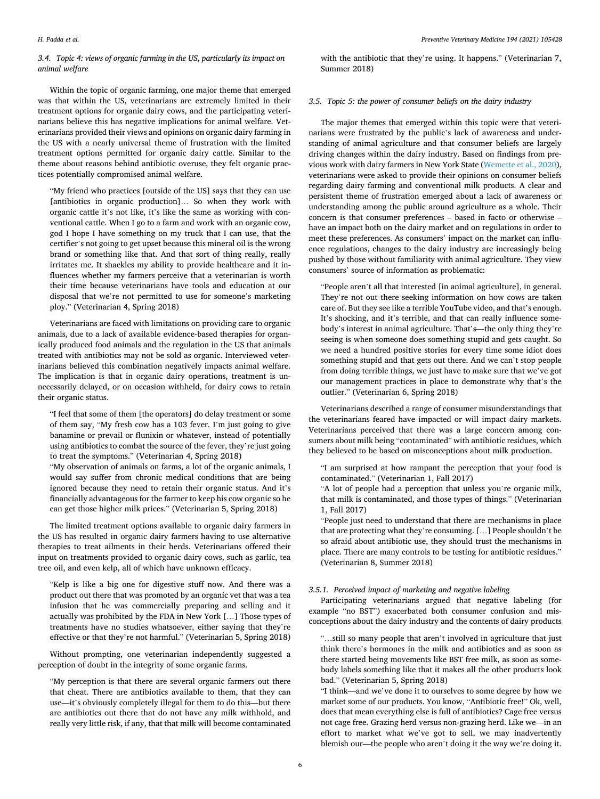# *3.4. Topic 4: views of organic farming in the US, particularly its impact on animal welfare*

Within the topic of organic farming, one major theme that emerged was that within the US, veterinarians are extremely limited in their treatment options for organic dairy cows, and the participating veterinarians believe this has negative implications for animal welfare. Veterinarians provided their views and opinions on organic dairy farming in the US with a nearly universal theme of frustration with the limited treatment options permitted for organic dairy cattle. Similar to the theme about reasons behind antibiotic overuse, they felt organic practices potentially compromised animal welfare.

"My friend who practices [outside of the US] says that they can use [antibiotics in organic production]… So when they work with organic cattle it's not like, it's like the same as working with conventional cattle. When I go to a farm and work with an organic cow, god I hope I have something on my truck that I can use, that the certifier's not going to get upset because this mineral oil is the wrong brand or something like that. And that sort of thing really, really irritates me. It shackles my ability to provide healthcare and it influences whether my farmers perceive that a veterinarian is worth their time because veterinarians have tools and education at our disposal that we're not permitted to use for someone's marketing ploy." (Veterinarian 4, Spring 2018)

Veterinarians are faced with limitations on providing care to organic animals, due to a lack of available evidence-based therapies for organically produced food animals and the regulation in the US that animals treated with antibiotics may not be sold as organic. Interviewed veterinarians believed this combination negatively impacts animal welfare. The implication is that in organic dairy operations, treatment is unnecessarily delayed, or on occasion withheld, for dairy cows to retain their organic status.

"I feel that some of them [the operators] do delay treatment or some of them say, "My fresh cow has a 103 fever. I'm just going to give banamine or prevail or flunixin or whatever, instead of potentially using antibiotics to combat the source of the fever, they're just going to treat the symptoms." (Veterinarian 4, Spring 2018)

"My observation of animals on farms, a lot of the organic animals, I would say suffer from chronic medical conditions that are being ignored because they need to retain their organic status. And it's financially advantageous for the farmer to keep his cow organic so he can get those higher milk prices." (Veterinarian 5, Spring 2018)

The limited treatment options available to organic dairy farmers in the US has resulted in organic dairy farmers having to use alternative therapies to treat ailments in their herds. Veterinarians offered their input on treatments provided to organic dairy cows, such as garlic, tea tree oil, and even kelp, all of which have unknown efficacy.

"Kelp is like a big one for digestive stuff now. And there was a product out there that was promoted by an organic vet that was a tea infusion that he was commercially preparing and selling and it actually was prohibited by the FDA in New York […] Those types of treatments have no studies whatsoever, either saying that they're effective or that they're not harmful." (Veterinarian 5, Spring 2018)

Without prompting, one veterinarian independently suggested a perception of doubt in the integrity of some organic farms.

"My perception is that there are several organic farmers out there that cheat. There are antibiotics available to them, that they can use—it's obviously completely illegal for them to do this—but there are antibiotics out there that do not have any milk withhold, and really very little risk, if any, that that milk will become contaminated

with the antibiotic that they're using. It happens." (Veterinarian 7, Summer 2018)

#### *3.5. Topic 5: the power of consumer beliefs on the dairy industry*

The major themes that emerged within this topic were that veterinarians were frustrated by the public's lack of awareness and understanding of animal agriculture and that consumer beliefs are largely driving changes within the dairy industry. Based on findings from previous work with dairy farmers in New York State [\(Wemette et al., 2020](#page-9-0)), veterinarians were asked to provide their opinions on consumer beliefs regarding dairy farming and conventional milk products. A clear and persistent theme of frustration emerged about a lack of awareness or understanding among the public around agriculture as a whole. Their concern is that consumer preferences – based in facto or otherwise – have an impact both on the dairy market and on regulations in order to meet these preferences. As consumers' impact on the market can influence regulations, changes to the dairy industry are increasingly being pushed by those without familiarity with animal agriculture. They view consumers' source of information as problematic:

"People aren't all that interested [in animal agriculture], in general. They're not out there seeking information on how cows are taken care of. But they see like a terrible YouTube video, and that's enough. It's shocking, and it's terrible, and that can really influence somebody's interest in animal agriculture. That's—the only thing they're seeing is when someone does something stupid and gets caught. So we need a hundred positive stories for every time some idiot does something stupid and that gets out there. And we can't stop people from doing terrible things, we just have to make sure that we've got our management practices in place to demonstrate why that's the outlier." (Veterinarian 6, Spring 2018)

Veterinarians described a range of consumer misunderstandings that the veterinarians feared have impacted or will impact dairy markets. Veterinarians perceived that there was a large concern among consumers about milk being "contaminated" with antibiotic residues, which they believed to be based on misconceptions about milk production.

"I am surprised at how rampant the perception that your food is contaminated." (Veterinarian 1, Fall 2017)

"A lot of people had a perception that unless you're organic milk, that milk is contaminated, and those types of things." (Veterinarian 1, Fall 2017)

"People just need to understand that there are mechanisms in place that are protecting what they're consuming. […] People shouldn't be so afraid about antibiotic use, they should trust the mechanisms in place. There are many controls to be testing for antibiotic residues." (Veterinarian 8, Summer 2018)

## *3.5.1. Perceived impact of marketing and negative labeling*

Participating veterinarians argued that negative labeling (for example "no BST") exacerbated both consumer confusion and misconceptions about the dairy industry and the contents of dairy products

"…still so many people that aren't involved in agriculture that just think there's hormones in the milk and antibiotics and as soon as there started being movements like BST free milk, as soon as somebody labels something like that it makes all the other products look bad." (Veterinarian 5, Spring 2018)

"I think—and we've done it to ourselves to some degree by how we market some of our products. You know, "Antibiotic free!" Ok, well, does that mean everything else is full of antibiotics? Cage free versus not cage free. Grazing herd versus non-grazing herd. Like we—in an effort to market what we've got to sell, we may inadvertently blemish our—the people who aren't doing it the way we're doing it.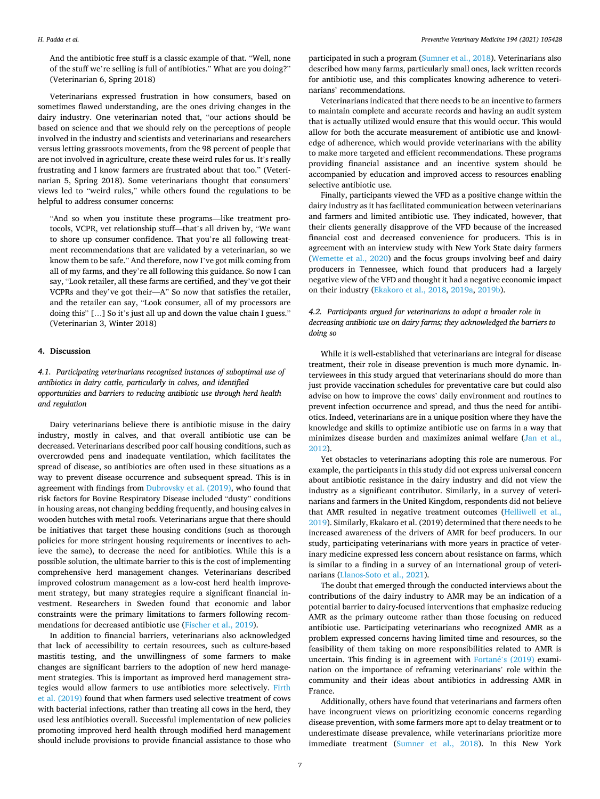#### *H. Padda et al.*

And the antibiotic free stuff is a classic example of that. "Well, none of the stuff we're selling is full of antibiotics." What are you doing?" (Veterinarian 6, Spring 2018)

Veterinarians expressed frustration in how consumers, based on sometimes flawed understanding, are the ones driving changes in the dairy industry. One veterinarian noted that, "our actions should be based on science and that we should rely on the perceptions of people involved in the industry and scientists and veterinarians and researchers versus letting grassroots movements, from the 98 percent of people that are not involved in agriculture, create these weird rules for us. It's really frustrating and I know farmers are frustrated about that too." (Veterinarian 5, Spring 2018). Some veterinarians thought that consumers' views led to "weird rules," while others found the regulations to be helpful to address consumer concerns:

"And so when you institute these programs—like treatment protocols, VCPR, vet relationship stuff—that's all driven by, "We want to shore up consumer confidence. That you're all following treatment recommendations that are validated by a veterinarian, so we know them to be safe." And therefore, now I've got milk coming from all of my farms, and they're all following this guidance. So now I can say, "Look retailer, all these farms are certified, and they've got their VCPRs and they've got their—A" So now that satisfies the retailer, and the retailer can say, "Look consumer, all of my processors are doing this" [...] So it's just all up and down the value chain I guess." (Veterinarian 3, Winter 2018)

### **4. Discussion**

*4.1. Participating veterinarians recognized instances of suboptimal use of antibiotics in dairy cattle, particularly in calves, and identified opportunities and barriers to reducing antibiotic use through herd health and regulation* 

Dairy veterinarians believe there is antibiotic misuse in the dairy industry, mostly in calves, and that overall antibiotic use can be decreased. Veterinarians described poor calf housing conditions, such as overcrowded pens and inadequate ventilation, which facilitates the spread of disease, so antibiotics are often used in these situations as a way to prevent disease occurrence and subsequent spread. This is in agreement with findings from [Dubrovsky et al. \(2019\),](#page-8-0) who found that risk factors for Bovine Respiratory Disease included "dusty" conditions in housing areas, not changing bedding frequently, and housing calves in wooden hutches with metal roofs. Veterinarians argue that there should be initiatives that target these housing conditions (such as thorough policies for more stringent housing requirements or incentives to achieve the same), to decrease the need for antibiotics. While this is a possible solution, the ultimate barrier to this is the cost of implementing comprehensive herd management changes. Veterinarians described improved colostrum management as a low-cost herd health improvement strategy, but many strategies require a significant financial investment. Researchers in Sweden found that economic and labor constraints were the primary limitations to farmers following recommendations for decreased antibiotic use ([Fischer et al., 2019](#page-8-0)).

In addition to financial barriers, veterinarians also acknowledged that lack of accessibility to certain resources, such as culture-based mastitis testing, and the unwillingness of some farmers to make changes are significant barriers to the adoption of new herd management strategies. This is important as improved herd management strategies would allow farmers to use antibiotics more selectively. [Firth](#page-8-0)  [et al. \(2019\)](#page-8-0) found that when farmers used selective treatment of cows with bacterial infections, rather than treating all cows in the herd, they used less antibiotics overall. Successful implementation of new policies promoting improved herd health through modified herd management should include provisions to provide financial assistance to those who

participated in such a program [\(Sumner et al., 2018](#page-9-0)). Veterinarians also described how many farms, particularly small ones, lack written records for antibiotic use, and this complicates knowing adherence to veterinarians' recommendations.

Veterinarians indicated that there needs to be an incentive to farmers to maintain complete and accurate records and having an audit system that is actually utilized would ensure that this would occur. This would allow for both the accurate measurement of antibiotic use and knowledge of adherence, which would provide veterinarians with the ability to make more targeted and efficient recommendations. These programs providing financial assistance and an incentive system should be accompanied by education and improved access to resources enabling selective antibiotic use.

Finally, participants viewed the VFD as a positive change within the dairy industry as it has facilitated communication between veterinarians and farmers and limited antibiotic use. They indicated, however, that their clients generally disapprove of the VFD because of the increased financial cost and decreased convenience for producers. This is in agreement with an interview study with New York State dairy farmers ([Wemette et al., 2020](#page-9-0)) and the focus groups involving beef and dairy producers in Tennessee, which found that producers had a largely negative view of the VFD and thought it had a negative economic impact on their industry ([Ekakoro et al., 2018](#page-8-0), [2019a, 2019b\)](#page-8-0).

# *4.2. Participants argued for veterinarians to adopt a broader role in decreasing antibiotic use on dairy farms; they acknowledged the barriers to doing so*

While it is well-established that veterinarians are integral for disease treatment, their role in disease prevention is much more dynamic. Interviewees in this study argued that veterinarians should do more than just provide vaccination schedules for preventative care but could also advise on how to improve the cows' daily environment and routines to prevent infection occurrence and spread, and thus the need for antibiotics. Indeed, veterinarians are in a unique position where they have the knowledge and skills to optimize antibiotic use on farms in a way that minimizes disease burden and maximizes animal welfare ([Jan et al.,](#page-8-0)  [2012\)](#page-8-0).

Yet obstacles to veterinarians adopting this role are numerous. For example, the participants in this study did not express universal concern about antibiotic resistance in the dairy industry and did not view the industry as a significant contributor. Similarly, in a survey of veterinarians and farmers in the United Kingdom, respondents did not believe that AMR resulted in negative treatment outcomes ([Helliwell et al.,](#page-8-0)  [2019\)](#page-8-0). Similarly, Ekakaro et al. (2019) determined that there needs to be increased awareness of the drivers of AMR for beef producers. In our study, participating veterinarians with more years in practice of veterinary medicine expressed less concern about resistance on farms, which is similar to a finding in a survey of an international group of veterinarians ([Llanos-Soto et al., 2021](#page-9-0)).

The doubt that emerged through the conducted interviews about the contributions of the dairy industry to AMR may be an indication of a potential barrier to dairy-focused interventions that emphasize reducing AMR as the primary outcome rather than those focusing on reduced antibiotic use. Participating veterinarians who recognized AMR as a problem expressed concerns having limited time and resources, so the feasibility of them taking on more responsibilities related to AMR is uncertain. This finding is in agreement with  $\overline{Fortané}$ '[s \(2019\)](#page-8-0) examination on the importance of reframing veterinarians' role within the community and their ideas about antibiotics in addressing AMR in France.

Additionally, others have found that veterinarians and farmers often have incongruent views on prioritizing economic concerns regarding disease prevention, with some farmers more apt to delay treatment or to underestimate disease prevalence, while veterinarians prioritize more immediate treatment ([Sumner et al., 2018\)](#page-9-0). In this New York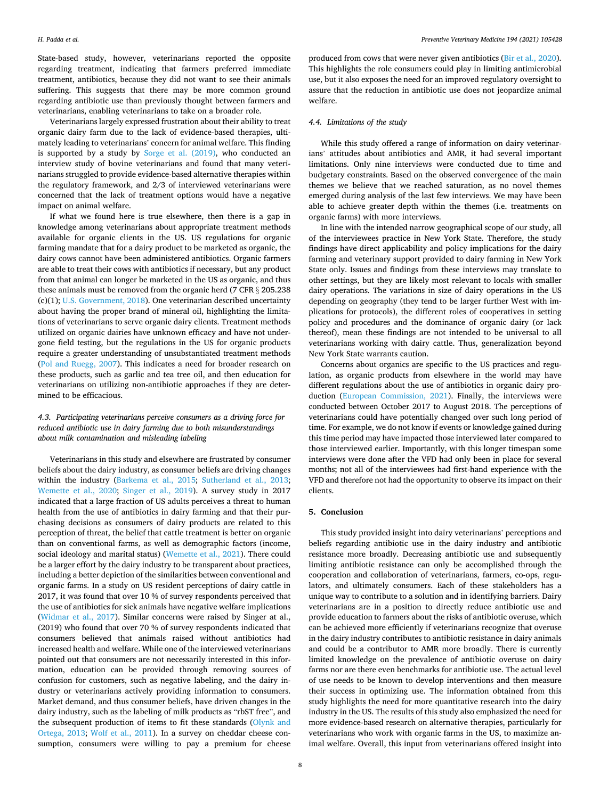State-based study, however, veterinarians reported the opposite regarding treatment, indicating that farmers preferred immediate treatment, antibiotics, because they did not want to see their animals suffering. This suggests that there may be more common ground regarding antibiotic use than previously thought between farmers and veterinarians, enabling veterinarians to take on a broader role.

Veterinarians largely expressed frustration about their ability to treat organic dairy farm due to the lack of evidence-based therapies, ultimately leading to veterinarians' concern for animal welfare. This finding is supported by a study by [Sorge et al. \(2019\)](#page-9-0), who conducted an interview study of bovine veterinarians and found that many veterinarians struggled to provide evidence-based alternative therapies within the regulatory framework, and 2/3 of interviewed veterinarians were concerned that the lack of treatment options would have a negative impact on animal welfare.

If what we found here is true elsewhere, then there is a gap in knowledge among veterinarians about appropriate treatment methods available for organic clients in the US. US regulations for organic farming mandate that for a dairy product to be marketed as organic, the dairy cows cannot have been administered antibiotics. Organic farmers are able to treat their cows with antibiotics if necessary, but any product from that animal can longer be marketed in the US as organic, and thus these animals must be removed from the organic herd (7 CFR § 205.238 (c)(1); [U.S. Government, 2018](#page-9-0)). One veterinarian described uncertainty about having the proper brand of mineral oil, highlighting the limitations of veterinarians to serve organic dairy clients. Treatment methods utilized on organic dairies have unknown efficacy and have not undergone field testing, but the regulations in the US for organic products require a greater understanding of unsubstantiated treatment methods ([Pol and Ruegg, 2007](#page-9-0)). This indicates a need for broader research on these products, such as garlic and tea tree oil, and then education for veterinarians on utilizing non-antibiotic approaches if they are determined to be efficacious.

# *4.3. Participating veterinarians perceive consumers as a driving force for reduced antibiotic use in dairy farming due to both misunderstandings about milk contamination and misleading labeling*

Veterinarians in this study and elsewhere are frustrated by consumer beliefs about the dairy industry, as consumer beliefs are driving changes within the industry ([Barkema et al., 2015](#page-8-0); [Sutherland et al., 2013](#page-9-0); [Wemette et al., 2020](#page-9-0); [Singer et al., 2019\)](#page-9-0). A survey study in 2017 indicated that a large fraction of US adults perceives a threat to human health from the use of antibiotics in dairy farming and that their purchasing decisions as consumers of dairy products are related to this perception of threat, the belief that cattle treatment is better on organic than on conventional farms, as well as demographic factors (income, social ideology and marital status) ([Wemette et al., 2021\)](#page-9-0). There could be a larger effort by the dairy industry to be transparent about practices, including a better depiction of the similarities between conventional and organic farms. In a study on US resident perceptions of dairy cattle in 2017, it was found that over 10 % of survey respondents perceived that the use of antibiotics for sick animals have negative welfare implications ([Widmar et al., 2017](#page-9-0)). Similar concerns were raised by Singer at al., (2019) who found that over 70 % of survey respondents indicated that consumers believed that animals raised without antibiotics had increased health and welfare. While one of the interviewed veterinarians pointed out that consumers are not necessarily interested in this information, education can be provided through removing sources of confusion for customers, such as negative labeling, and the dairy industry or veterinarians actively providing information to consumers. Market demand, and thus consumer beliefs, have driven changes in the dairy industry, such as the labeling of milk products as "rbST free", and the subsequent production of items to fit these standards [\(Olynk and](#page-9-0)  [Ortega, 2013;](#page-9-0) [Wolf et al., 2011\)](#page-9-0). In a survey on cheddar cheese consumption, consumers were willing to pay a premium for cheese produced from cows that were never given antibiotics [\(Bir et al., 2020](#page-8-0)). This highlights the role consumers could play in limiting antimicrobial use, but it also exposes the need for an improved regulatory oversight to assure that the reduction in antibiotic use does not jeopardize animal welfare.

# *4.4. Limitations of the study*

While this study offered a range of information on dairy veterinarians' attitudes about antibiotics and AMR, it had several important limitations. Only nine interviews were conducted due to time and budgetary constraints. Based on the observed convergence of the main themes we believe that we reached saturation, as no novel themes emerged during analysis of the last few interviews. We may have been able to achieve greater depth within the themes (i.e. treatments on organic farms) with more interviews.

In line with the intended narrow geographical scope of our study, all of the interviewees practice in New York State. Therefore, the study findings have direct applicability and policy implications for the dairy farming and veterinary support provided to dairy farming in New York State only. Issues and findings from these interviews may translate to other settings, but they are likely most relevant to locals with smaller dairy operations. The variations in size of dairy operations in the US depending on geography (they tend to be larger further West with implications for protocols), the different roles of cooperatives in setting policy and procedures and the dominance of organic dairy (or lack thereof), mean these findings are not intended to be universal to all veterinarians working with dairy cattle. Thus, generalization beyond New York State warrants caution.

Concerns about organics are specific to the US practices and regulation, as organic products from elsewhere in the world may have different regulations about the use of antibiotics in organic dairy production [\(European Commission, 2021\)](#page-8-0). Finally, the interviews were conducted between October 2017 to August 2018. The perceptions of veterinarians could have potentially changed over such long period of time. For example, we do not know if events or knowledge gained during this time period may have impacted those interviewed later compared to those interviewed earlier. Importantly, with this longer timespan some interviews were done after the VFD had only been in place for several months; not all of the interviewees had first-hand experience with the VFD and therefore not had the opportunity to observe its impact on their clients.

# **5. Conclusion**

This study provided insight into dairy veterinarians' perceptions and beliefs regarding antibiotic use in the dairy industry and antibiotic resistance more broadly. Decreasing antibiotic use and subsequently limiting antibiotic resistance can only be accomplished through the cooperation and collaboration of veterinarians, farmers, co-ops, regulators, and ultimately consumers. Each of these stakeholders has a unique way to contribute to a solution and in identifying barriers. Dairy veterinarians are in a position to directly reduce antibiotic use and provide education to farmers about the risks of antibiotic overuse, which can be achieved more efficiently if veterinarians recognize that overuse in the dairy industry contributes to antibiotic resistance in dairy animals and could be a contributor to AMR more broadly. There is currently limited knowledge on the prevalence of antibiotic overuse on dairy farms nor are there even benchmarks for antibiotic use. The actual level of use needs to be known to develop interventions and then measure their success in optimizing use. The information obtained from this study highlights the need for more quantitative research into the dairy industry in the US. The results of this study also emphasized the need for more evidence-based research on alternative therapies, particularly for veterinarians who work with organic farms in the US, to maximize animal welfare. Overall, this input from veterinarians offered insight into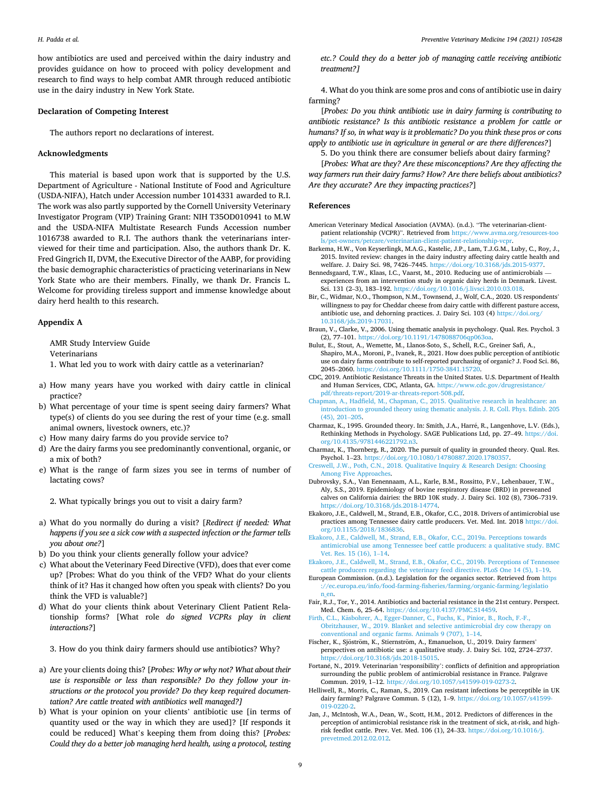<span id="page-8-0"></span>how antibiotics are used and perceived within the dairy industry and provides guidance on how to proceed with policy development and research to find ways to help combat AMR through reduced antibiotic use in the dairy industry in New York State.

## **Declaration of Competing Interest**

The authors report no declarations of interest.

#### **Acknowledgments**

This material is based upon work that is supported by the U.S. Department of Agriculture - National Institute of Food and Agriculture (USDA-NIFA), Hatch under Accession number 1014331 awarded to R.I. The work was also partly supported by the Cornell University Veterinary Investigator Program (VIP) Training Grant: NIH T35OD010941 to M.W and the USDA-NIFA Multistate Research Funds Accession number 1016738 awarded to R.I. The authors thank the veterinarians interviewed for their time and participation. Also, the authors thank Dr. K. Fred Gingrich II, DVM, the Executive Director of the AABP, for providing the basic demographic characteristics of practicing veterinarians in New York State who are their members. Finally, we thank Dr. Francis L. Welcome for providing tireless support and immense knowledge about dairy herd health to this research.

# **Appendix A**

AMR Study Interview Guide Veterinarians

1. What led you to work with dairy cattle as a veterinarian?

- a) How many years have you worked with dairy cattle in clinical practice?
- b) What percentage of your time is spent seeing dairy farmers? What type(s) of clients do you see during the rest of your time (e.g. small animal owners, livestock owners, etc.)?
- c) How many dairy farms do you provide service to?
- d) Are the dairy farms you see predominantly conventional, organic, or a mix of both?
- e) What is the range of farm sizes you see in terms of number of lactating cows?

2. What typically brings you out to visit a dairy farm?

- a) What do you normally do during a visit? [*Redirect if needed: What happens if you see a sick cow with a suspected infection or the farmer tells you about one?*]
- b) Do you think your clients generally follow your advice?
- c) What about the Veterinary Feed Directive (VFD), does that ever come up? [Probes: What do you think of the VFD? What do your clients think of it? Has it changed how often you speak with clients? Do you think the VFD is valuable?]
- d) What do your clients think about Veterinary Client Patient Relationship forms? [What role *do signed VCPRs play in client interactions?*]

3. How do you think dairy farmers should use antibiotics? Why?

- a) Are your clients doing this? [*Probes: Why or why not? What about their use is responsible or less than responsible? Do they follow your instructions or the protocol you provide? Do they keep required documentation? Are cattle treated with antibiotics well managed?]*
- b) What is your opinion on your clients' antibiotic use [in terms of quantity used or the way in which they are used]? [If responds it could be reduced] What's keeping them from doing this? [*Probes: Could they do a better job managing herd health, using a protocol, testing*

*etc.? Could they do a better job of managing cattle receiving antibiotic treatment?]* 

4. What do you think are some pros and cons of antibiotic use in dairy farming?

[*Probes: Do you think antibiotic use in dairy farming is contributing to antibiotic resistance? Is this antibiotic resistance a problem for cattle or humans? If so, in what way is it problematic? Do you think these pros or cons apply to antibiotic use in agriculture in general or are there differences?*]

5. Do you think there are consumer beliefs about dairy farming?

[*Probes: What are they? Are these misconceptions? Are they affecting the way farmers run their dairy farms? How? Are there beliefs about antibiotics? Are they accurate? Are they impacting practices?*]

#### **References**

- American Veterinary Medical Association (AVMA). (n.d.). "The veterinarian-clientpatient relationship (VCPR)". Retrieved from [https://www.avma.org/resources-too](https://www.avma.org/resources-tools/pet-owners/petcare/veterinarian-client-patient-relationship-vcpr)  [ls/pet-owners/petcare/veterinarian-client-patient-relationship-vcpr](https://www.avma.org/resources-tools/pet-owners/petcare/veterinarian-client-patient-relationship-vcpr).
- Barkema, H.W., Von Keyserlingk, M.A.G., Kastelic, J.P., Lam, T.J.G.M., Luby, C., Roy, J., 2015. Invited review: changes in the dairy industry affecting dairy cattle health and welfare. J. Dairy Sci. 98, 7426–7445. <https://doi.org/10.3168/jds.2015-9377>.
- Bennedsgaard, T.W., Klaas, I.C., Vaarst, M., 2010. Reducing use of antimicrobials experiences from an intervention study in organic dairy herds in Denmark. Livest. Sci. 131 (2–3), 183–192.<https://doi.org/10.1016/j.livsci.2010.03.018>.
- Bir, C., Widmar, N.O., Thompson, N.M., Townsend, J., Wolf, C.A., 2020. US respondents' willingness to pay for Cheddar cheese from dairy cattle with different pasture access, antibiotic use, and dehorning practices. J. Dairy Sci. 103 (4) [https://doi.org/](https://doi.org/10.3168/jds.2019-17031)  [10.3168/jds.2019-17031](https://doi.org/10.3168/jds.2019-17031).
- Braun, V., Clarke, V., 2006. Using thematic analysis in psychology. Qual. Res. Psychol. 3 (2), 77–101. <https://doi.org/10.1191/1478088706qp063oa>.
- Bulut, E., Stout, A., Wemette, M., Llanos-Soto, S., Schell, R.C., Greiner Safi, A., Shapiro, M.A., Moroni, P., Ivanek, R., 2021. How does public perception of antibiotic use on dairy farms contribute to self-reported purchasing of organic? J. Food Sci. 86, 2045–2060. [https://doi.org/10.1111/1750-3841.15720.](https://doi.org/10.1111/1750-3841.15720)
- CDC, 2019. Antibiotic Resistance Threats in the United States. U.S. Department of Health and Human Services, CDC, Atlanta, GA. [https://www.cdc.gov/drugresistance/](https://www.cdc.gov/drugresistance/pdf/threats-report/2019-ar-threats-report-508.pdf)  [pdf/threats-report/2019-ar-threats-report-508.pdf.](https://www.cdc.gov/drugresistance/pdf/threats-report/2019-ar-threats-report-508.pdf)
- [Chapman, A., Hadfield, M., Chapman, C., 2015. Qualitative research in healthcare: an](http://refhub.elsevier.com/S0167-5877(21)00172-0/sbref0040)  [introduction to grounded theory using thematic analysis. J. R. Coll. Phys. Edinb. 205](http://refhub.elsevier.com/S0167-5877(21)00172-0/sbref0040)  [\(45\), 201](http://refhub.elsevier.com/S0167-5877(21)00172-0/sbref0040)–205.
- Charmaz, K., 1995. Grounded theory. In: Smith, J.A., Harré, R., Langenhove, L.V. (Eds.), Rethinking Methods in Psychology. SAGE Publications Ltd, pp. 27–49. [https://doi.](https://doi.org/10.4135/9781446221792.n3) org/10.4135/9781446221792.n
- Charmaz, K., Thornberg, R., 2020. The pursuit of quality in grounded theory. Qual. Res. Psychol. 1–23. <https://doi.org/10.1080/14780887.2020.1780357>.
- [Creswell, J.W., Poth, C.N., 2018. Qualitative Inquiry](http://refhub.elsevier.com/S0167-5877(21)00172-0/sbref0055) & Research Design: Choosing [Among Five Approaches.](http://refhub.elsevier.com/S0167-5877(21)00172-0/sbref0055)
- Dubrovsky, S.A., Van Eenennaam, A.L., Karle, B.M., Rossitto, P.V., Lehenbauer, T.W., Aly, S.S., 2019. Epidemiology of bovine respiratory disease (BRD) in preweaned calves on California dairies: the BRD 10K study. J. Dairy Sci. 102 (8), 7306–7319. https://doi.org/10.3168/jds.2018-147
- Ekakoro, J.E., Caldwell, M., Strand, E.B., Okafor, C.C., 2018. Drivers of antimicrobial use practices among Tennessee dairy cattle producers. Vet. Med. Int. 2018 [https://doi.](https://doi.org/10.1155/2018/1836836)  [org/10.1155/2018/1836836](https://doi.org/10.1155/2018/1836836).
- [Ekakoro, J.E., Caldwell, M., Strand, E.B., Okafor, C.C., 2019a. Perceptions towards](http://refhub.elsevier.com/S0167-5877(21)00172-0/sbref0070)  [antimicrobial use among Tennessee beef cattle producers: a qualitative study. BMC](http://refhub.elsevier.com/S0167-5877(21)00172-0/sbref0070)  [Vet. Res. 15 \(16\), 1](http://refhub.elsevier.com/S0167-5877(21)00172-0/sbref0070)–14.
- [Ekakoro, J.E., Caldwell, M., Strand, E.B., Okafor, C.C., 2019b. Perceptions of Tennessee](http://refhub.elsevier.com/S0167-5877(21)00172-0/sbref0075)  [cattle producers regarding the veterinary feed directive. PLoS One 14 \(5\), 1](http://refhub.elsevier.com/S0167-5877(21)00172-0/sbref0075)–19.
- European Commission. (n.d.). Legislation for the organics sector. Retrieved from [https](https://ec.europa.eu/info/food-farming-fisheries/farming/organic-farming/legislation_en)  [://ec.europa.eu/info/food-farming-fisheries/farming/organic-farming/legislatio](https://ec.europa.eu/info/food-farming-fisheries/farming/organic-farming/legislation_en) [n\\_en](https://ec.europa.eu/info/food-farming-fisheries/farming/organic-farming/legislation_en).
- Fair, R.J., Tor, Y., 2014. Antibiotics and bacterial resistance in the 21st century. Perspect. Med. Chem. 6, 25–64. [https://doi.org/10.4137/PMC.S14459.](https://doi.org/10.4137/PMC.S14459)
- Firth, C.L., Käsbohrer, A., Egger-Danner, C., Fuchs, K., Pinior, B., Roch, F.-F., [Obritzhauser, W., 2019. Blanket and selective antimicrobial dry cow therapy on](http://refhub.elsevier.com/S0167-5877(21)00172-0/sbref0090) [conventional and organic farms. Animals 9 \(707\), 1](http://refhub.elsevier.com/S0167-5877(21)00172-0/sbref0090)–14.
- Fischer, K., Sjöström, K., Stiernström, A., Emanuelson, U., 2019. Dairy farmers' perspectives on antibiotic use: a qualitative study. J. Dairy Sci. 102, 2724–2737. <https://doi.org/10.3168/jds.2018-15015>.
- Fortané, N., 2019. Veterinarian 'responsibility': conflicts of definition and appropriation surrounding the public problem of antimicrobial resistance in France. Palgrave Commun. 2019, 1–12. <https://doi.org/10.1057/s41599-019-0273-2>.
- Helliwell, R., Morris, C., Raman, S., 2019. Can resistant infections be perceptible in UK dairy farming? Palgrave Commun. 5 (12), 1–9. [https://doi.org/10.1057/s41599-](https://doi.org/10.1057/s41599-019-0220-2)  [019-0220-2](https://doi.org/10.1057/s41599-019-0220-2).
- Jan, J., McIntosh, W.A., Dean, W., Scott, H.M., 2012. Predictors of differences in the perception of antimicrobial resistance risk in the treatment of sick, at-risk, and highrisk feedlot cattle. Prev. Vet. Med. 106 (1), 24–33. [https://doi.org/10.1016/j.](https://doi.org/10.1016/j.prevetmed.2012.02.012) [prevetmed.2012.02.012](https://doi.org/10.1016/j.prevetmed.2012.02.012).